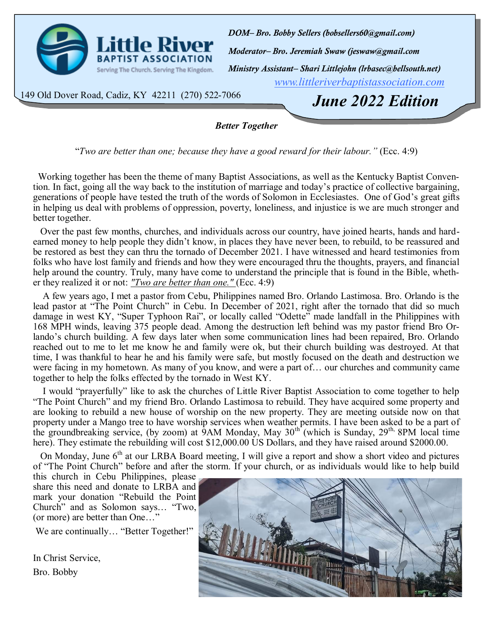<span id="page-0-0"></span>

*[www.littleriverbaptistassociation.com](#page-0-0) Moderator– Bro. Jeremiah Swaw (jeswaw@gmail.com DOM– Bro. Bobby Sellers (bobsellers60@gmail.com) Ministry Assistant– Shari Littlejohn (lrbasec@bellsouth.net)*

149 Old Dover Road, Cadiz, KY 42211 (270) 522-7066

*June 2022 Edition*

## *Better Together*

"*Two are better than one; because they have a good reward for their labour."* (Ecc. 4:9)

 Working together has been the theme of many Baptist Associations, as well as the Kentucky Baptist Convention. In fact, going all the way back to the institution of marriage and today's practice of collective bargaining, generations of people have tested the truth of the words of Solomon in Ecclesiastes. One of God's great gifts in helping us deal with problems of oppression, poverty, loneliness, and injustice is we are much stronger and better together.

 Over the past few months, churches, and individuals across our country, have joined hearts, hands and hardearned money to help people they didn't know, in places they have never been, to rebuild, to be reassured and be restored as best they can thru the tornado of December 2021. I have witnessed and heard testimonies from folks who have lost family and friends and how they were encouraged thru the thoughts, prayers, and financial help around the country. Truly, many have come to understand the principle that is found in the Bible, whether they realized it or not: *"Two are better than one."* (Ecc. 4:9)

 A few years ago, I met a pastor from Cebu, Philippines named Bro. Orlando Lastimosa. Bro. Orlando is the lead pastor at "The Point Church" in Cebu. In December of 2021, right after the tornado that did so much damage in west KY, "Super Typhoon Rai", or locally called "Odette" made landfall in the Philippines with 168 MPH winds, leaving 375 people dead. Among the destruction left behind was my pastor friend Bro Orlando's church building. A few days later when some communication lines had been repaired, Bro. Orlando reached out to me to let me know he and family were ok, but their church building was destroyed. At that time, I was thankful to hear he and his family were safe, but mostly focused on the death and destruction we were facing in my hometown. As many of you know, and were a part of… our churches and community came together to help the folks effected by the tornado in West KY.

 I would "prayerfully" like to ask the churches of Little River Baptist Association to come together to help "The Point Church" and my friend Bro. Orlando Lastimosa to rebuild. They have acquired some property and are looking to rebuild a new house of worship on the new property. They are meeting outside now on that property under a Mango tree to have worship services when weather permits. I have been asked to be a part of the groundbreaking service, (by zoom) at 9AM Monday, May  $30<sup>th</sup>$  (which is Sunday,  $29<sup>th</sup>$ , 8PM local time here). They estimate the rebuilding will cost \$12,000.00 US Dollars, and they have raised around \$2000.00.

On Monday, June 6<sup>th</sup> at our LRBA Board meeting, I will give a report and show a short video and pictures of "The Point Church" before and after the storm. If your church, or as individuals would like to help build

this church in Cebu Philippines, please share this need and donate to LRBA and mark your donation "Rebuild the Point Church" and as Solomon says… "Two, (or more) are better than One…"

We are continually... "Better Together!"

In Christ Service, Bro. Bobby